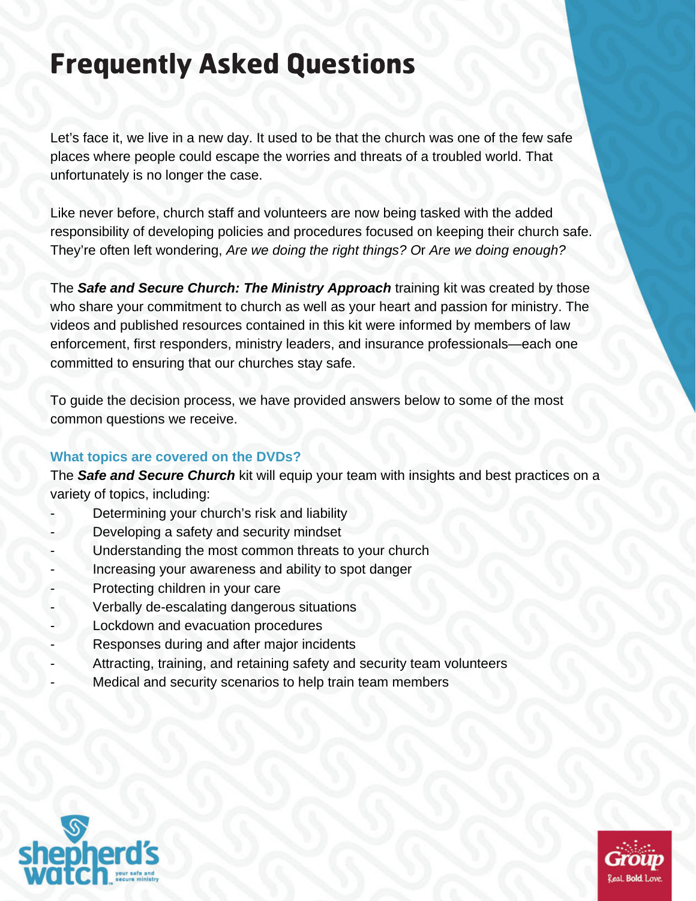# Frequently Asked Questions

Let's face it, we live in a new day. It used to be that the church was one of the few safe places where people could escape the worries and threats of a troubled world. That unfortunately is no longer the case.

Like never before, church staff and volunteers are now being tasked with the added responsibility of developing policies and procedures focused on keeping their church safe. They're often left wondering, *Are we doing the right things? O*r *Are we doing enough?*

The *Safe and Secure Church: The Ministry Approach* training kit was created by those who share your commitment to church as well as your heart and passion for ministry. The videos and published resources contained in this kit were informed by members of law enforcement, first responders, ministry leaders, and insurance professionals—each one committed to ensuring that our churches stay safe.

To guide the decision process, we have provided answers below to some of the most common questions we receive.

# **What topics are covered on the DVDs?**

The *Safe and Secure Church* kit will equip your team with insights and best practices on a variety of topics, including:

- Determining your church's risk and liability
- Developing a safety and security mindset
- Understanding the most common threats to your church
- Increasing your awareness and ability to spot danger
- Protecting children in your care
- Verbally de-escalating dangerous situations
- Lockdown and evacuation procedures
- Responses during and after major incidents
- Attracting, training, and retaining safety and security team volunteers
- Medical and security scenarios to help train team members